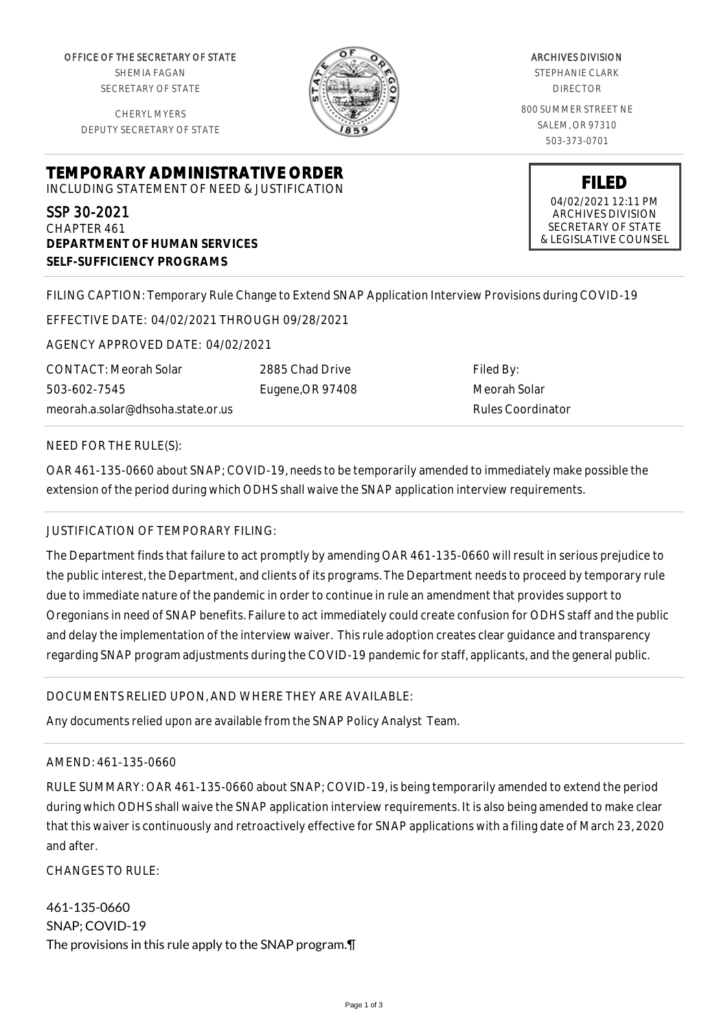OFFICE OF THE SECRETARY OF STATE SHEMIA FAGAN SECRETARY OF STATE

CHERYL MYERS DEPUTY SECRETARY OF STATE



ARCHIVES DIVISION STEPHANIE CLARK DIRECTOR 800 SUMMER STREET NE SALEM, OR 97310 503-373-0701

**TEMPORARY ADMINISTRATIVE ORDER** INCLUDING STATEMENT OF NEED & JUSTIFICATION

SSP 30-2021 CHAPTER 461 **DEPARTMENT OF HUMAN SERVICES SELF-SUFFICIENCY PROGRAMS**

**FILED** 04/02/2021 12:11 PM ARCHIVES DIVISION SECRETARY OF STATE

& LEGISLATIVE COUNSEL

FILING CAPTION: Temporary Rule Change to Extend SNAP Application Interview Provisions during COVID-19

EFFECTIVE DATE: 04/02/2021 THROUGH 09/28/2021

AGENCY APPROVED DATE: 04/02/2021

CONTACT: Meorah Solar 503-602-7545 meorah.a.solar@dhsoha.state.or.us

2885 Chad Drive Eugene,OR 97408

Filed By: Meorah Solar Rules Coordinator

NEED FOR THE RULE(S):

OAR 461-135-0660 about SNAP; COVID-19, needs to be temporarily amended to immediately make possible the extension of the period during which ODHS shall waive the SNAP application interview requirements.

## JUSTIFICATION OF TEMPORARY FILING:

The Department finds that failure to act promptly by amending OAR 461-135-0660 will result in serious prejudice to the public interest, the Department, and clients of its programs. The Department needs to proceed by temporary rule due to immediate nature of the pandemic in order to continue in rule an amendment that provides support to Oregonians in need of SNAP benefits. Failure to act immediately could create confusion for ODHS staff and the public and delay the implementation of the interview waiver. This rule adoption creates clear guidance and transparency regarding SNAP program adjustments during the COVID-19 pandemic for staff, applicants, and the general public.

## DOCUMENTS RELIED UPON, AND WHERE THEY ARE AVAILABLE:

Any documents relied upon are available from the SNAP Policy Analyst Team.

## AMEND: 461-135-0660

RULE SUMMARY: OAR 461-135-0660 about SNAP; COVID-19, is being temporarily amended to extend the period during which ODHS shall waive the SNAP application interview requirements. It is also being amended to make clear that this waiver is continuously and retroactively effective for SNAP applications with a filing date of March 23, 2020 and after.

CHANGES TO RULE:

461-135-0660 SNAP; COVID-19 The provisions in this rule apply to the SNAP program.¶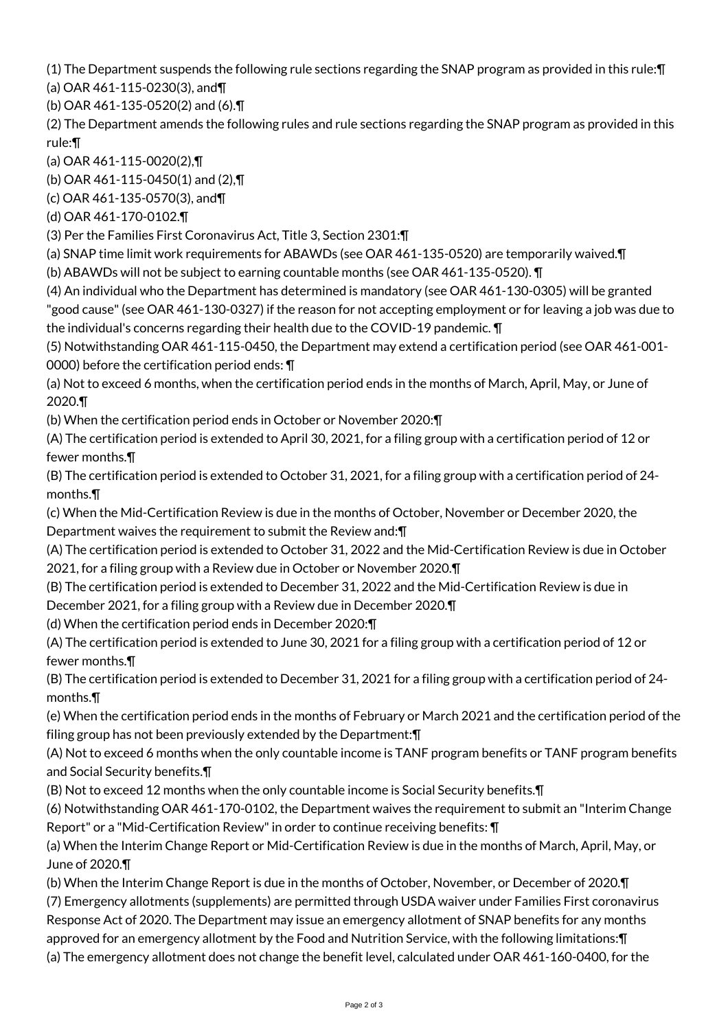(1) The Department suspends the following rule sections regarding the SNAP program as provided in this rule:¶

(a) OAR 461-115-0230(3), and¶

(b) OAR 461-135-0520(2) and (6).¶

(2) The Department amends the following rules and rule sections regarding the SNAP program as provided in this rule:¶

(a) OAR 461-115-0020(2),¶

(b) OAR 461-115-0450(1) and (2),¶

(c) OAR 461-135-0570(3), and¶

(d) OAR 461-170-0102.¶

(3) Per the Families First Coronavirus Act, Title 3, Section 2301:¶

(a) SNAP time limit work requirements for ABAWDs (see OAR 461-135-0520) are temporarily waived.¶

(b) ABAWDs will not be subject to earning countable months (see OAR 461-135-0520). ¶

(4) An individual who the Department has determined is mandatory (see OAR 461-130-0305) will be granted "good cause" (see OAR 461-130-0327) if the reason for not accepting employment or for leaving a job was due to the individual's concerns regarding their health due to the COVID-19 pandemic. ¶

(5) Notwithstanding OAR 461-115-0450, the Department may extend a certification period (see OAR 461-001- 0000) before the certification period ends: ¶

(a) Not to exceed 6 months, when the certification period ends in the months of March, April, May, or June of 2020.¶

(b) When the certification period ends in October or November 2020:¶

(A) The certification period is extended to April 30, 2021, for a filing group with a certification period of 12 or fewer months.¶

(B) The certification period is extended to October 31, 2021, for a filing group with a certification period of 24 months.¶

(c) When the Mid-Certification Review is due in the months of October, November or December 2020, the Department waives the requirement to submit the Review and:¶

(A) The certification period is extended to October 31, 2022 and the Mid-Certification Review is due in October 2021, for a filing group with a Review due in October or November 2020.¶

(B) The certification period is extended to December 31, 2022 and the Mid-Certification Review is due in December 2021, for a filing group with a Review due in December 2020.¶

(d) When the certification period ends in December 2020:¶

(A) The certification period is extended to June 30, 2021 for a filing group with a certification period of 12 or fewer months.¶

(B) The certification period is extended to December 31, 2021 for a filing group with a certification period of 24 months.¶

(e) When the certification period ends in the months of February or March 2021 and the certification period of the filing group has not been previously extended by the Department:¶

(A) Not to exceed 6 months when the only countable income is TANF program benefits or TANF program benefits and Social Security benefits.¶

(B) Not to exceed 12 months when the only countable income is Social Security benefits.¶

(6) Notwithstanding OAR 461-170-0102, the Department waives the requirement to submit an "Interim Change Report" or a "Mid-Certification Review" in order to continue receiving benefits: ¶

(a) When the Interim Change Report or Mid-Certification Review is due in the months of March, April, May, or June of 2020.¶

(b) When the Interim Change Report is due in the months of October, November, or December of 2020.¶

(7) Emergency allotments (supplements) are permitted through USDA waiver under Families First coronavirus Response Act of 2020. The Department may issue an emergency allotment of SNAP benefits for any months

approved for an emergency allotment by the Food and Nutrition Service, with the following limitations:¶

(a) The emergency allotment does not change the benefit level, calculated under OAR 461-160-0400, for the